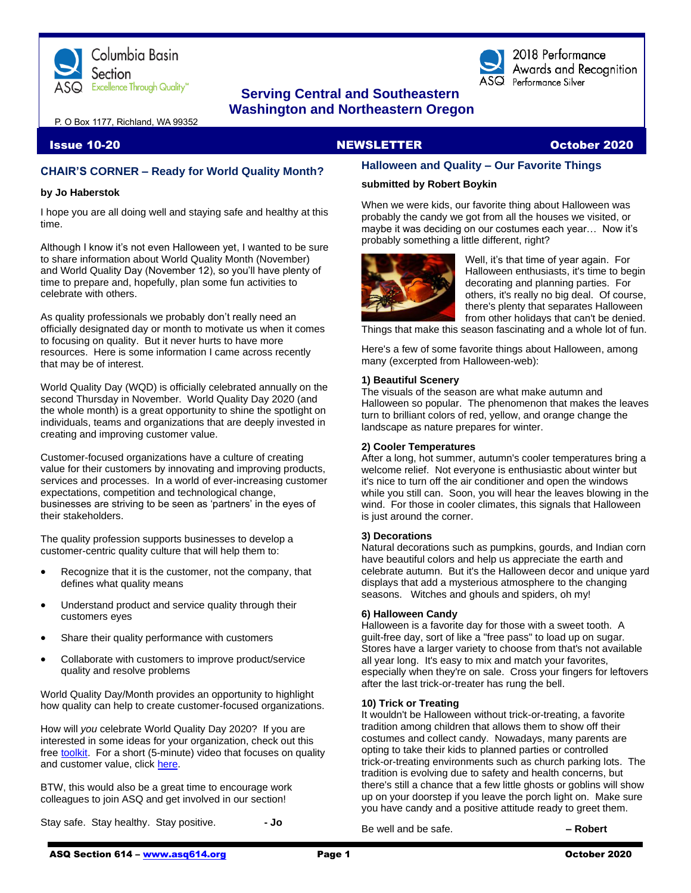

## **Serving Central and Southeastern Washington and Northeastern Oregon**

2018 Performance Awards and Recognition  $\overline{\text{ASQ}}$  Performance Silver

P. O Box 1177, Richland, WA 99352

### **CHAIR'S CORNER – Ready for World Quality Month?**

#### **by Jo Haberstok**

I hope you are all doing well and staying safe and healthy at this time.

Although I know it's not even Halloween yet, I wanted to be sure to share information about World Quality Month (November) and World Quality Day (November 12), so you'll have plenty of time to prepare and, hopefully, plan some fun activities to celebrate with others.

As quality professionals we probably don't really need an officially designated day or month to motivate us when it comes to focusing on quality. But it never hurts to have more resources. Here is some information I came across recently that may be of interest.

World Quality Day (WQD) is officially celebrated annually on the second Thursday in November. World Quality Day 2020 (and the whole month) is a great opportunity to shine the spotlight on individuals, teams and organizations that are deeply invested in creating and improving customer value.

Customer-focused organizations have a culture of creating value for their customers by innovating and improving products, services and processes. In a world of ever-increasing customer expectations, competition and technological change, businesses are striving to be seen as 'partners' in the eyes of their stakeholders.

The quality profession supports businesses to develop a customer-centric quality culture that will help them to:

- Recognize that it is the customer, not the company, that defines what quality means
- Understand product and service quality through their customers eyes
- Share their quality performance with customers
- Collaborate with customers to improve product/service quality and resolve problems

World Quality Day/Month provides an opportunity to highlight how quality can help to create customer-focused organizations.

How will *you* celebrate World Quality Day 2020? If you are interested in some ideas for your organization, check out this free [toolkit.](https://www.quality.org/wqd20-toolkit) For a short (5-minute) video that focuses on quality and customer value, click [here.](https://www.youtube.com/watch?v=QaN1lAcEZZY&feature=emb_logo)

BTW, this would also be a great time to encourage work colleagues to join ASQ and get involved in our section!

Stay safe. Stay healthy. Stay positive. **- Jo**

### Issue 10-20 NEWSLETTER October 2020

#### **Halloween and Quality – Our Favorite Things**

#### **submitted by Robert Boykin**

When we were kids, our favorite thing about Halloween was probably the candy we got from all the houses we visited, or maybe it was deciding on our costumes each year… Now it's probably something a little different, right?



Well, it's that time of year again. For Halloween enthusiasts, it's time to begin decorating and planning parties. For others, it's really no big deal. Of course, there's plenty that separates Halloween from other holidays that can't be denied.

Things that make this season fascinating and a whole lot of fun.

Here's a few of some favorite things about Halloween, among many (excerpted from Halloween-web):

#### **1) Beautiful Scenery**

The visuals of the season are what make autumn and Halloween so popular. The phenomenon that makes the leaves turn to brilliant colors of red, yellow, and orange change the landscape as nature prepares for winter.

#### **2) Cooler Temperatures**

After a long, hot summer, autumn's cooler temperatures bring a welcome relief. Not everyone is enthusiastic about winter but it's nice to turn off the air conditioner and open the windows while you still can. Soon, you will hear the leaves blowing in the wind. For those in cooler climates, this signals that Halloween is just around the corner.

#### **3) Decorations**

Natural decorations such as pumpkins, gourds, and Indian corn have beautiful colors and help us appreciate the earth and celebrate autumn. But it's the Halloween decor and unique yard displays that add a mysterious atmosphere to the changing seasons. Witches and ghouls and spiders, oh my!

#### **6) Halloween Candy**

Halloween is a favorite day for those with a sweet tooth. A guilt-free day, sort of like a "free pass" to load up on sugar. Stores have a larger variety to choose from that's not available all year long. It's easy to mix and match your favorites, especially when they're on sale. Cross your fingers for leftovers after the last trick-or-treater has rung the bell.

#### **10) Trick or Treating**

It wouldn't be Halloween without trick-or-treating, a favorite tradition among children that allows them to show off their costumes and collect candy. Nowadays, many parents are opting to take their kids to planned parties or controlled trick-or-treating environments such as church parking lots. The tradition is evolving due to safety and health concerns, but there's still a chance that a few little ghosts or goblins will show up on your doorstep if you leave the porch light on. Make sure you have candy and a positive attitude ready to greet them.

Be well and be safe. **– Robert**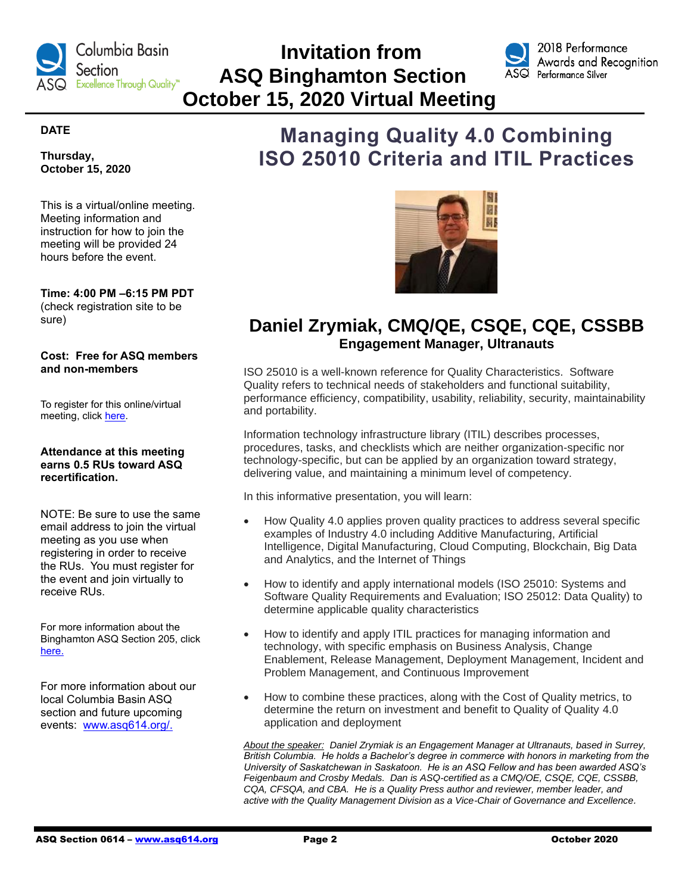

# **Invitation from ASQ Binghamton Section October 15, 2020 Virtual Meeting**



### **DATE**

**Thursday, October 15, 2020**

This is a virtual/online meeting. Meeting information and instruction for how to join the meeting will be provided 24 hours before the event.

**Time: 4:00 PM –6:15 PM PDT** (check registration site to be sure)

#### **Cost: Free for ASQ members and non-members**

To register for this online/virtual meeting, click [here.](https://asq.webex.com/mw3300/mywebex/default.do?nomenu=true&siteurl=asq&service=6&rnd=0.5245202323516744&main_url=https%3A%2F%2Fasq.webex.com%2Fec3300%2Feventcenter%2Fevent%2FeventAction.do%3FtheAction%3Ddetail%26%26%26EMK%3D4832534b000000046333fa3731de6a133b5aaca5257e51148af5d9ca16d8df25ae3b1f9b1c726e96%26siteurl%3Dasq%26confViewID%3D173304706902293927%26encryptTicket%3DSDJTSwAAAASFlXiNace23O5FYRtW8Yj7ftgwDyvL6Up-ottb2mBUEg2%26)

#### **Attendance at this meeting earns 0.5 RUs toward ASQ recertification.**

NOTE: Be sure to use the same email address to join the virtual meeting as you use when registering in order to receive the RUs. You must register for the event and join virtually to receive RUs.

For more information about the Binghamton ASQ Section 205, click [here.](https://my.asq.org/communities/home/293)

For more information about our local Columbia Basin ASQ section and future upcoming events: [www.asq614.org/.](http://www.asq614.org/)

# **Managing Quality 4.0 Combining ISO 25010 Criteria and ITIL Practices**



## **Daniel Zrymiak, CMQ/QE, CSQE, CQE, CSSBB Engagement Manager, Ultranauts**

ISO 25010 is a well-known reference for Quality Characteristics. Software Quality refers to technical needs of stakeholders and functional suitability, performance efficiency, compatibility, usability, reliability, security, maintainability and portability.

Information technology infrastructure library (ITIL) describes processes, procedures, tasks, and checklists which are neither organization-specific nor technology-specific, but can be applied by an organization toward strategy, delivering value, and maintaining a minimum level of competency.

In this informative presentation, you will learn:

- How Quality 4.0 applies proven quality practices to address several specific examples of Industry 4.0 including Additive Manufacturing, Artificial Intelligence, Digital Manufacturing, Cloud Computing, Blockchain, Big Data and Analytics, and the Internet of Things
- How to identify and apply international models (ISO 25010: Systems and Software Quality Requirements and Evaluation; ISO 25012: Data Quality) to determine applicable quality characteristics
- How to identify and apply ITIL practices for managing information and technology, with specific emphasis on Business Analysis, Change Enablement, Release Management, Deployment Management, Incident and Problem Management, and Continuous Improvement
- How to combine these practices, along with the Cost of Quality metrics, to determine the return on investment and benefit to Quality of Quality 4.0 application and deployment

*About the speaker: Daniel Zrymiak is an Engagement Manager at Ultranauts, based in Surrey, British Columbia. He holds a Bachelor's degree in commerce with honors in marketing from the University of Saskatchewan in Saskatoon. He is an ASQ Fellow and has been awarded ASQ's Feigenbaum and Crosby Medals. Dan is ASQ-certified as a CMQ/OE, CSQE, CQE, CSSBB, CQA, CFSQA, and CBA. He is a Quality Press author and reviewer, member leader, and active with the Quality Management Division as a Vice-Chair of Governance and Excellence.*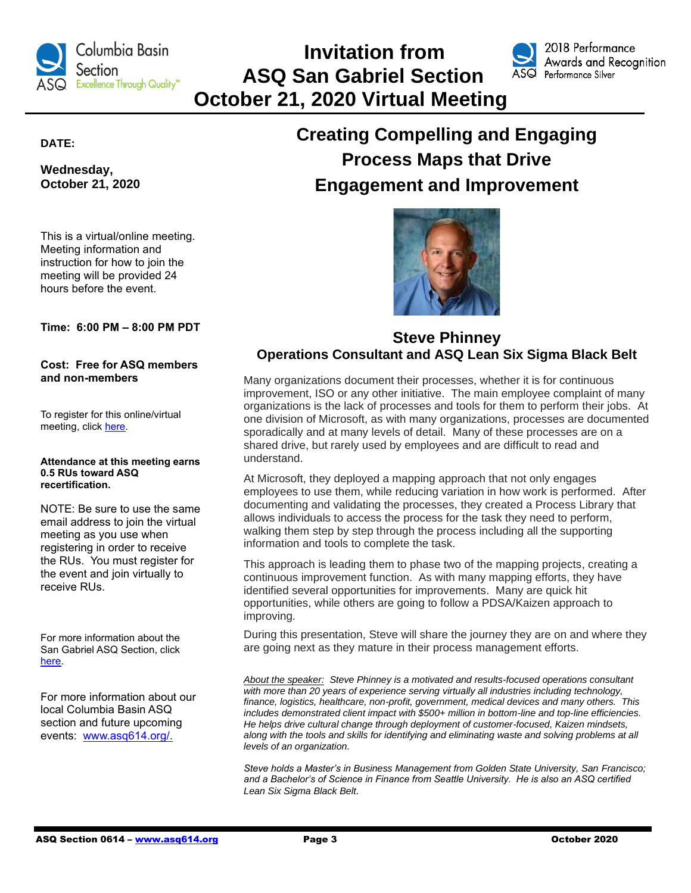

# **Invitation from ASQ San Gabriel Section October 21, 2020 Virtual Meeting**



2018 Performance Awards and Recognition Performance Silver

### **DATE:**

**Wednesday, October 21, 2020**

This is a virtual/online meeting. Meeting information and instruction for how to join the meeting will be provided 24 hours before the event.

**Time: 6:00 PM – 8:00 PM PDT**

#### **Cost: Free for ASQ members and non-members**

To register for this online/virtual meeting, click [here.](https://www.eventbrite.com/e/2020-10-asq-san-gabriel-valley-monthly-meeting-tickets-37748738493)

#### **Attendance at this meeting earns 0.5 RUs toward ASQ recertification.**

NOTE: Be sure to use the same email address to join the virtual meeting as you use when registering in order to receive the RUs. You must register for the event and join virtually to receive RUs.

For more information about the San Gabriel ASQ Section, click [here.](https://my.asq.org/communities/home/241)

For more information about our local Columbia Basin ASQ section and future upcoming events: [www.asq614.org/.](http://www.asq614.org/)

# **Creating Compelling and Engaging Process Maps that Drive Engagement and Improvement**



### **Steve Phinney Operations Consultant and ASQ Lean Six Sigma Black Belt**

Many organizations document their processes, whether it is for continuous improvement, ISO or any other initiative. The main employee complaint of many organizations is the lack of processes and tools for them to perform their jobs. At one division of Microsoft, as with many organizations, processes are documented sporadically and at many levels of detail. Many of these processes are on a shared drive, but rarely used by employees and are difficult to read and understand.

At Microsoft, they deployed a mapping approach that not only engages employees to use them, while reducing variation in how work is performed. After documenting and validating the processes, they created a Process Library that allows individuals to access the process for the task they need to perform, walking them step by step through the process including all the supporting information and tools to complete the task.

This approach is leading them to phase two of the mapping projects, creating a continuous improvement function. As with many mapping efforts, they have identified several opportunities for improvements. Many are quick hit opportunities, while others are going to follow a PDSA/Kaizen approach to improving.

During this presentation, Steve will share the journey they are on and where they are going next as they mature in their process management efforts.

*About the speaker: Steve Phinney is a motivated and results-focused operations consultant with more than 20 years of experience serving virtually all industries including technology, finance, logistics, healthcare, non-profit, government, medical devices and many others. This includes demonstrated client impact with \$500+ million in bottom-line and top-line efficiencies. He helps drive cultural change through deployment of customer-focused, Kaizen mindsets, along with the tools and skills for identifying and eliminating waste and solving problems at all levels of an organization.*

*Steve holds a Master's in Business Management from Golden State University, San Francisco; and a Bachelor's of Science in Finance from Seattle University. He is also an ASQ certified Lean Six Sigma Black Belt.*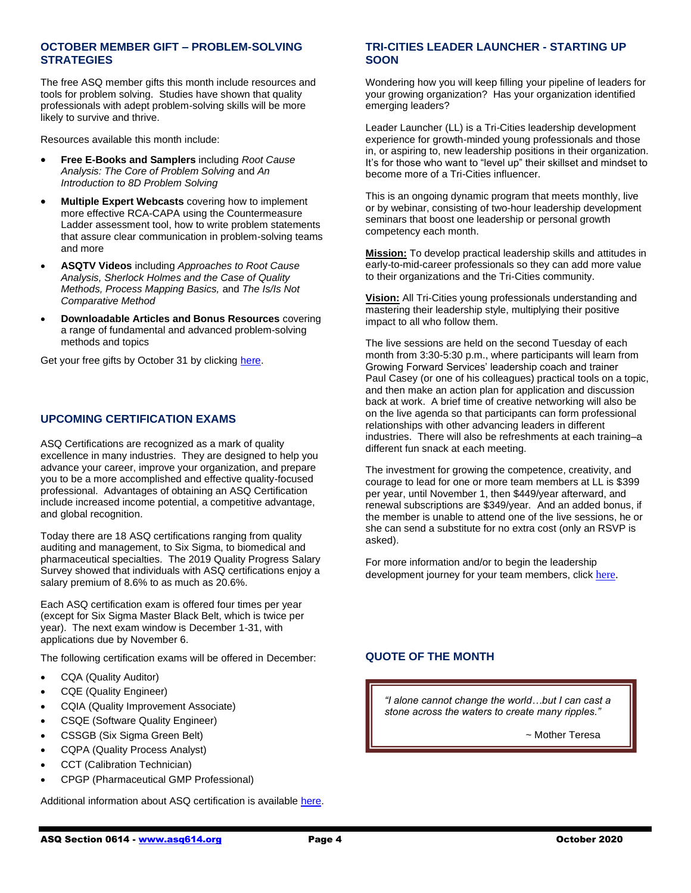#### **OCTOBER MEMBER GIFT – PROBLEM-SOLVING STRATEGIES**

The free ASQ member gifts this month include resources and tools for problem solving. Studies have shown that quality professionals with adept problem-solving skills will be more likely to survive and thrive.

Resources available this month include:

- **Free E-Books and Samplers** including *Root Cause Analysis: The Core of Problem Solving* and *An Introduction to 8D Problem Solving*
- **Multiple Expert Webcasts** covering how to implement more effective RCA-CAPA using the Countermeasure Ladder assessment tool, how to write problem statements that assure clear communication in problem-solving teams and more
- **ASQTV Videos** including *Approaches to Root Cause Analysis, Sherlock Holmes and the Case of Quality Methods, Process Mapping Basics,* and *The Is/Is Not Comparative Method*
- **Downloadable Articles and Bonus Resources** covering a range of fundamental and advanced problem-solving methods and topics

Get your free gifts by October 31 by clicking [here.](https://secure.asq.org/perl/msg.pl?prvurl=http://asq.org/membership/members/gift/index.html)

#### **UPCOMING CERTIFICATION EXAMS**

ASQ Certifications are recognized as a mark of quality excellence in many industries. They are designed to help you advance your career, improve your organization, and prepare you to be a more accomplished and effective quality-focused professional. Advantages of obtaining an ASQ Certification include increased income potential, a competitive advantage, and global recognition.

Today there are 18 ASQ certifications ranging from quality auditing and management, to Six Sigma, to biomedical and pharmaceutical specialties. The 2019 Quality Progress Salary Survey showed that individuals with ASQ certifications enjoy a salary premium of 8.6% to as much as 20.6%.

Each ASQ certification exam is offered four times per year (except for Six Sigma Master Black Belt, which is twice per year). The next exam window is December 1-31, with applications due by November 6.

The following certification exams will be offered in December:

- CQA (Quality Auditor)
- CQE (Quality Engineer)
- CQIA (Quality Improvement Associate)
- CSQE (Software Quality Engineer)
- CSSGB (Six Sigma Green Belt)
- CQPA (Quality Process Analyst)
- CCT (Calibration Technician)
- CPGP (Pharmaceutical GMP Professional)

Additional information about ASQ certification is availabl[e here.](http://www.asq.org/certification)

#### **TRI-CITIES LEADER LAUNCHER - STARTING UP SOON**

Wondering how you will keep filling your pipeline of leaders for your growing organization? Has your organization identified emerging leaders?

Leader Launcher (LL) is a Tri-Cities leadership development experience for growth-minded young professionals and those in, or aspiring to, new leadership positions in their organization. It's for those who want to "level up" their skillset and mindset to become more of a Tri-Cities influencer.

This is an ongoing dynamic program that meets monthly, live or by webinar, consisting of two-hour leadership development seminars that boost one leadership or personal growth competency each month.

**Mission:** To develop practical leadership skills and attitudes in early-to-mid-career professionals so they can add more value to their organizations and the Tri-Cities community.

**Vision:** All Tri-Cities young professionals understanding and mastering their leadership style, multiplying their positive impact to all who follow them.

The live sessions are held on the second Tuesday of each month from 3:30-5:30 p.m., where participants will learn from Growing Forward Services' leadership coach and trainer Paul Casey (or one of his colleagues) practical tools on a topic, and then make an action plan for application and discussion back at work. A brief time of creative networking will also be on the live agenda so that participants can form professional relationships with other advancing leaders in different industries. There will also be refreshments at each training–a different fun snack at each meeting.

The investment for growing the competence, creativity, and courage to lead for one or more team members at LL is \$399 per year, until November 1, then \$449/year afterward, and renewal subscriptions are \$349/year*.* And an added bonus, if the member is unable to attend one of the live sessions, he or she can send a substitute for no extra cost (only an RSVP is asked).

For more information and/or to begin the leadership development journey for your team members, click [here.](https://leader-launcher.com/)

### **QUOTE OF THE MONTH**

*"I alone cannot change the world…but I can cast a stone across the waters to create many ripples."*

 *~* Mother Teresa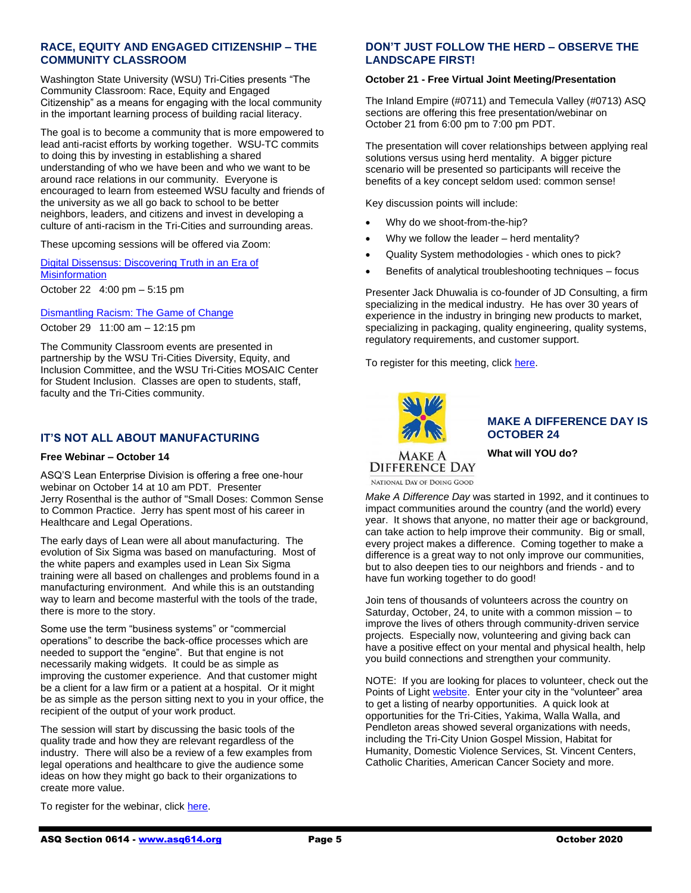#### **RACE, EQUITY AND ENGAGED CITIZENSHIP – THE COMMUNITY CLASSROOM**

Washington State University (WSU) Tri-Cities presents "The Community Classroom: Race, Equity and Engaged Citizenship" as a means for engaging with the local community in the important learning process of building racial literacy.

The goal is to become a community that is more empowered to lead anti-racist efforts by working together. WSU-TC commits to doing this by investing in establishing a shared understanding of who we have been and who we want to be around race relations in our community. Everyone is encouraged to learn from esteemed WSU faculty and friends of the university as we all go back to school to be better neighbors, leaders, and citizens and invest in developing a culture of anti-racism in the Tri-Cities and surrounding areas.

These upcoming sessions will be offered via Zoom:

[Digital Dissensus: Discovering Truth in an Era of](https://tricities.wsu.edu/diversity/community-classroom-series/?fbclid=IwAR3AkNtvC-bBM-vmLN-kIPHQ9QGBLt8A3_fV6YEF8Eqcw-AMT40oPN1cX1E)  **[Misinformation](https://tricities.wsu.edu/diversity/community-classroom-series/?fbclid=IwAR3AkNtvC-bBM-vmLN-kIPHQ9QGBLt8A3_fV6YEF8Eqcw-AMT40oPN1cX1E)** October 22 4:00 pm – 5:15 pm

[Dismantling Racism: The Game of Change](https://tricities.wsu.edu/diversity/community-classroom-series/?fbclid=IwAR3AkNtvC-bBM-vmLN-kIPHQ9QGBLt8A3_fV6YEF8Eqcw-AMT40oPN1cX1E)

October 29 11:00 am – 12:15 pm

The Community Classroom events are presented in partnership by the WSU Tri-Cities Diversity, Equity, and Inclusion Committee, and the WSU Tri-Cities MOSAIC Center for Student Inclusion. Classes are open to students, staff, faculty and the Tri-Cities community.

#### **IT'S NOT ALL ABOUT MANUFACTURING**

#### **Free Webinar – October 14**

ASQ'S Lean Enterprise Division is offering a free one-hour webinar on October 14 at 10 am PDT. Presenter Jerry Rosenthal is the author of "Small Doses: Common Sense to Common Practice. Jerry has spent most of his career in Healthcare and Legal Operations.

The early days of Lean were all about manufacturing. The evolution of Six Sigma was based on manufacturing. Most of the white papers and examples used in Lean Six Sigma training were all based on challenges and problems found in a manufacturing environment. And while this is an outstanding way to learn and become masterful with the tools of the trade, there is more to the story.

Some use the term "business systems" or "commercial operations" to describe the back-office processes which are needed to support the "engine". But that engine is not necessarily making widgets. It could be as simple as improving the customer experience. And that customer might be a client for a law firm or a patient at a hospital. Or it might be as simple as the person sitting next to you in your office, the recipient of the output of your work product.

The session will start by discussing the basic tools of the quality trade and how they are relevant regardless of the industry. There will also be a review of a few examples from legal operations and healthcare to give the audience some ideas on how they might go back to their organizations to create more value.

To register for the webinar, click [here.](https://register.gotowebinar.com/register/3432436017164473355)

#### **DON'T JUST FOLLOW THE HERD – OBSERVE THE LANDSCAPE FIRST!**

#### **October 21 - Free Virtual Joint Meeting/Presentation**

The Inland Empire (#0711) and Temecula Valley (#0713) ASQ sections are offering this free presentation/webinar on October 21 from 6:00 pm to 7:00 pm PDT.

The presentation will cover relationships between applying real solutions versus using herd mentality. A bigger picture scenario will be presented so participants will receive the benefits of a key concept seldom used: common sense!

Key discussion points will include:

- Why do we shoot-from-the-hip?
- Why we follow the leader herd mentality?
- Quality System methodologies which ones to pick?
- Benefits of analytical troubleshooting techniques focus

Presenter Jack Dhuwalia is co-founder of JD Consulting, a firm specializing in the medical industry. He has over 30 years of experience in the industry in bringing new products to market, specializing in packaging, quality engineering, quality systems, regulatory requirements, and customer support.

To register for this meeting, click [here.](https://www.eventbrite.com/e/dont-just-follow-the-herd-observe-the-landscape-first-by-jack-dhuwalia-tickets-124371523575)



#### **MAKE A DIFFERENCE DAY IS OCTOBER 24**

**What will YOU do?**

**DIFFERENCE DAY** NATIONAL DAY OF DOING GOOD

*Make A Difference Day* was started in 1992, and it continues to impact communities around the country (and the world) every year. It shows that anyone, no matter their age or background, can take action to help improve their community. Big or small, every project makes a difference. Coming together to make a difference is a great way to not only improve our communities, but to also deepen ties to our neighbors and friends - and to have fun working together to do good!

Join tens of thousands of volunteers across the country on Saturday, October, 24, to unite with a common mission – to improve the lives of others through community-driven service projects. Especially now, volunteering and giving back can have a positive effect on your mental and physical health, help you build connections and strengthen your community.

NOTE: If you are looking for places to volunteer, check out the Points of Ligh[t website.](https://www.pointsoflight.org/volunteer/) Enter your city in the "volunteer" area to get a listing of nearby opportunities. A quick look at opportunities for the Tri-Cities, Yakima, Walla Walla, and Pendleton areas showed several organizations with needs, including the Tri-City Union Gospel Mission, Habitat for Humanity, Domestic Violence Services, St. Vincent Centers, Catholic Charities, American Cancer Society and more.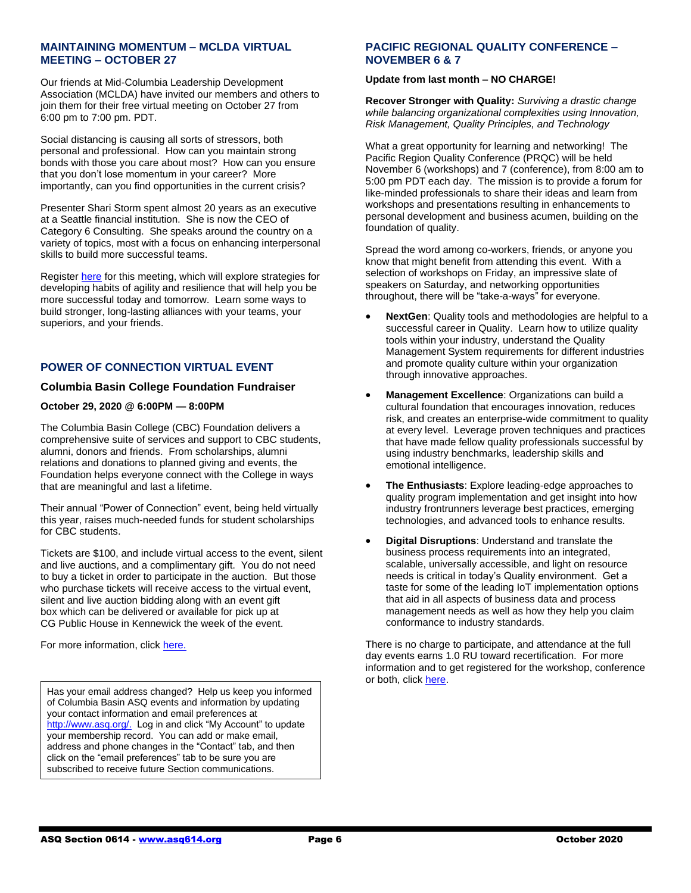#### **MAINTAINING MOMENTUM – MCLDA VIRTUAL MEETING – OCTOBER 27**

Our friends at Mid-Columbia Leadership Development Association (MCLDA) have invited our members and others to join them for their free virtual meeting on October 27 from 6:00 pm to 7:00 pm. PDT.

Social distancing is causing all sorts of stressors, both personal and professional. How can you maintain strong bonds with those you care about most? How can you ensure that you don't lose momentum in your career? More importantly, can you find opportunities in the current crisis?

Presenter Shari Storm spent almost 20 years as an executive at a Seattle financial institution. She is now the CEO of Category 6 Consulting. She speaks around the country on a variety of topics, most with a focus on enhancing interpersonal skills to build more successful teams.

Register [here](https://www.eventbrite.com/e/mclda-live-online-event-maintaining-momentum-by-shari-storm-tickets-124428650443) for this meeting, which will explore strategies for developing habits of agility and resilience that will help you be more successful today and tomorrow. Learn some ways to build stronger, long-lasting alliances with your teams, your superiors, and your friends.

### **POWER OF CONNECTION VIRTUAL EVENT**

#### **Columbia Basin College Foundation Fundraiser**

#### **October 29, 2020 @ 6:00PM — 8:00PM**

The Columbia Basin College (CBC) Foundation delivers a comprehensive suite of services and support to CBC students, alumni, donors and friends. From scholarships, alumni relations and donations to planned giving and events, the Foundation helps everyone connect with the College in ways that are meaningful and last a lifetime.

Their annual "Power of Connection" event, being held virtually this year, raises much-needed funds for student scholarships for CBC students.

Tickets are \$100, and include virtual access to the event, silent and live auctions, and a complimentary gift. You do not need to buy a ticket in order to participate in the auction. But those who purchase tickets will receive access to the virtual event, silent and live auction bidding along with an event gift box which can be delivered or available for pick up at CG Public House in Kennewick the week of the event.

For more information, clic[k here.](https://columbiabasin.networkforgood.com/events/17591-power-of-connection-scholarship-dinner-auction)

Has your email address changed? Help us keep you informed of Columbia Basin ASQ events and information by updating your contact information and email preferences at [http://www.asq.org/.](http://www.asq.org/) Log in and click "My Account" to update your membership record. You can add or make email, address and phone changes in the "Contact" tab, and then click on the "email preferences" tab to be sure you are subscribed to receive future Section communications.

#### **PACIFIC REGIONAL QUALITY CONFERENCE – NOVEMBER 6 & 7**

#### **Update from last month – NO CHARGE!**

**Recover Stronger with Quality:** *Surviving a drastic change while balancing organizational complexities using Innovation, Risk Management, Quality Principles, and Technology*

What a great opportunity for learning and networking! The Pacific Region Quality Conference (PRQC) will be held November 6 (workshops) and 7 (conference), from 8:00 am to 5:00 pm PDT each day. The mission is to provide a forum for like-minded professionals to share their ideas and learn from workshops and presentations resulting in enhancements to personal development and business acumen, building on the foundation of quality.

Spread the word among co-workers, friends, or anyone you know that might benefit from attending this event. With a selection of workshops on Friday, an impressive slate of speakers on Saturday, and networking opportunities throughout, there will be "take-a-ways" for everyone.

- **NextGen**: Quality tools and methodologies are helpful to a successful career in Quality. Learn how to utilize quality tools within your industry, understand the Quality Management System requirements for different industries and promote quality culture within your organization through innovative approaches.
- **Management Excellence**: Organizations can build a cultural foundation that encourages innovation, reduces risk, and creates an enterprise-wide commitment to quality at every level. Leverage proven techniques and practices that have made fellow quality professionals successful by using industry benchmarks, leadership skills and emotional intelligence.
- **The Enthusiasts**: Explore leading-edge approaches to quality program implementation and get insight into how industry frontrunners leverage best practices, emerging technologies, and advanced tools to enhance results.
- **Digital Disruptions**: Understand and translate the business process requirements into an integrated, scalable, universally accessible, and light on resource needs is critical in today's Quality environment. Get a taste for some of the leading IoT implementation options that aid in all aspects of business data and process management needs as well as how they help you claim conformance to industry standards.

There is no charge to participate, and attendance at the full day events earns 1.0 RU toward recertification. For more information and to get registered for the workshop, conference or both, click [here.](http://pacificregionconference.com/program-and-pricing/)